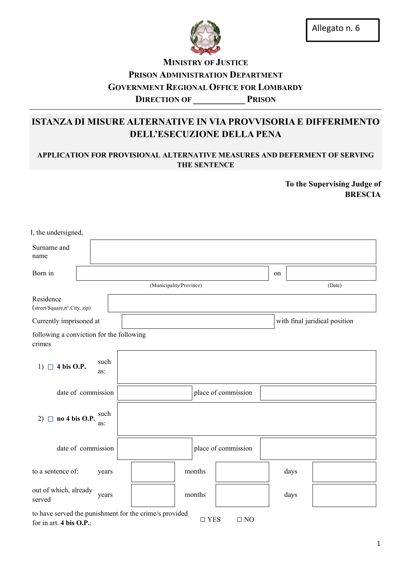

## **MINISTRY OF JUSTICE** PRISON ADMINISTRATION DEPARTMENT GOVERNMENT REGIONAL OFFICE FOR LOMBARDY DIRECTION OF PRISON

# ISTANZA DI MISURE ALTERNATIVE IN VIA PROVVISORIA E DIFFERIMENTO DELL'ESECUZIONE DELLA PENA

### APPLICATION FOR PROVISIONAL ALTERNATIVE MEASURES AND DEFERMENT OF SERVING THE SENTENCE

To the Supervising Judge of BRESCIA

| I, the undersigned,                                    |                    |                         |        |                     |    |      |                               |
|--------------------------------------------------------|--------------------|-------------------------|--------|---------------------|----|------|-------------------------------|
| Surname and<br>name                                    |                    |                         |        |                     |    |      |                               |
| Born in                                                |                    |                         |        |                     | on |      |                               |
|                                                        |                    | (Municipality/Province) |        |                     |    |      | (Date)                        |
| Residence<br>(street/Square,n°,City, zip)              |                    |                         |        |                     |    |      |                               |
| Currently imprisoned at                                |                    |                         |        |                     |    |      | with final juridical position |
| following a conviction for the following<br>crimes     |                    |                         |        |                     |    |      |                               |
| $\Box$ 4 bis O.P.<br>1)                                | such<br>as:        |                         |        |                     |    |      |                               |
|                                                        | date of commission |                         |        | place of commission |    |      |                               |
| no 4 bis O.P.<br>$2)$ $\Box$                           | such<br>as:        |                         |        |                     |    |      |                               |
|                                                        | date of commission |                         |        | place of commission |    |      |                               |
| to a sentence of:                                      | years              |                         | months |                     |    | days |                               |
| out of which, already<br>served                        | years              |                         | months |                     |    | days |                               |
| to have served the punishment for the crime/s provided |                    |                         |        |                     |    |      |                               |

for in art. 4 bis O.P.:  $\square$  YES  $\square$  NO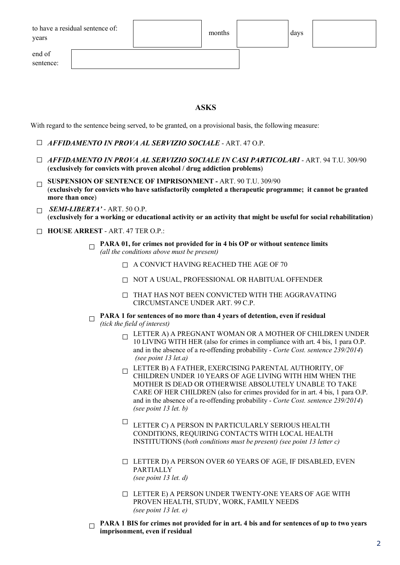| to have a residual sentence of: |  |
|---------------------------------|--|
| years                           |  |

end of sentence: months days

ASKS

With regard to the sentence being served, to be granted, on a provisional basis, the following measure:

- □ *AFFIDAMENTO IN PROVA AL SERVIZIO SOCIALE* ART. 47 O.P.
- □ *AFFIDAMENTO IN PROVA AL SERVIZIO SOCIALE IN CASI PARTICOLARI*  ART. 94 T.U. 309/90 (exclusively for convicts with proven alcohol / drug addiction problems)
- $\Box$  SUSPENSION OF SENTENCE OF IMPRISONMENT ART. 90 T.U. 309/90 (exclusively for convicts who have satisfactorily completed a therapeutic programme; it cannot be granted more than once)
- $\Box$  *SEMI-LIBERTA'* ART. 50 O.P. (exclusively for a working or educational activity or an activity that might be useful for social rehabilitation)
- □ HOUSE ARREST ART. 47 TER O.P.:
	- PARA 01, for crimes not provided for in 4 bis OP or without sentence limits *(all the conditions above must be present)*
		- $\Box$  A CONVICT HAVING REACHED THE AGE OF 70
		- □ NOT A USUAL, PROFESSIONAL OR HABITUAL OFFENDER
		- $\Box$  THAT HAS NOT BEEN CONVICTED WITH THE AGGRAVATING CIRCUMSTANCE UNDER ART. 99 C.P.
	- $\Box$  PARA 1 for sentences of no more than 4 years of detention, even if residual

*(tick the field of interest)*

- $\Box$  LETTER A) A PREGNANT WOMAN OR A MOTHER OF CHILDREN UNDER 10 LIVING WITH HER (also for crimes in compliance with art. 4 bis, 1 para O.P. and in the absence of a re-offending probability - *Corte Cost. sentence 239/2014*) *(see point 13 let.a)*
- $\Box$  LETTER B) A FATHER, EXERCISING PARENTAL AUTHORITY, OF CHILDREN UNDER 10 YEARS OF AGE LIVING WITH HIM WHEN THE MOTHER IS DEAD OR OTHERWISE ABSOLUTELY UNABLE TO TAKE CARE OF HER CHILDREN (also for crimes provided for in art. 4 bis, 1 para O.P. and in the absence of a re-offending probability - *Corte Cost. sentence 239/2014*) *(see point 13 let. b)*
- $\quad \Box$ LETTER C) A PERSON IN PARTICULARLY SERIOUS HEALTH CONDITIONS, REQUIRING CONTACTS WITH LOCAL HEALTH INSTITUTIONS (*both conditions must be present) (see point 13 letter c)*
- $\Box$  LETTER D) A PERSON OVER 60 YEARS OF AGE, IF DISABLED, EVEN PARTIALLY *(see point 13 let. d)*
- □ LETTER E) A PERSON UNDER TWENTY-ONE YEARS OF AGE WITH PROVEN HEALTH, STUDY, WORK, FAMILY NEEDS *(see point 13 let. e)*
- $\Box$  PARA 1 BIS for crimes not provided for in art. 4 bis and for sentences of up to two years imprisonment, even if residual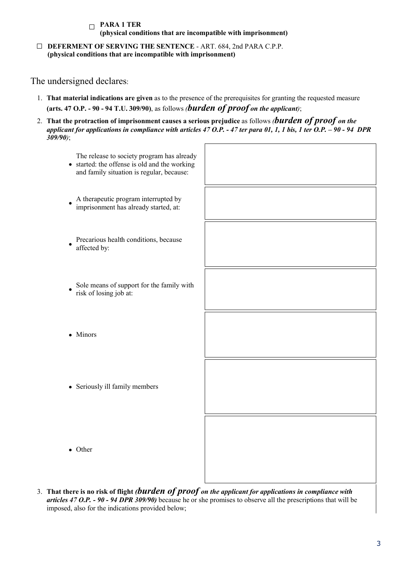#### $\Box$  PARA 1 TER (physical conditions that are incompatible with imprisonment)

□ DEFERMENT OF SERVING THE SENTENCE - ART. 684, 2nd PARA C.P.P. (physical conditions that are incompatible with imprisonment)

## The undersigned declares:

- 1. That material indications are given as to the presence of the prerequisites for granting the requested measure (arts. 47 O.P. - 90 - 94 T.U. 309/90), as follows *(burden of proof on the applicant)*;
- 2. That the protraction of imprisonment causes a serious prejudice as follows *(burden of proof on the applicant for applications in compliance with articles 47 O.P. - 47 ter para 01, 1, 1 bis, 1 ter O.P. – 90 - 94 DPR 309/90)*;



3. That there is no risk of flight *(burden of proof on the applicant for applications in compliance with articles 47 O.P. - 90 - 94 DPR 309/90)* because he or she promises to observe all the prescriptions that will be imposed, also for the indications provided below;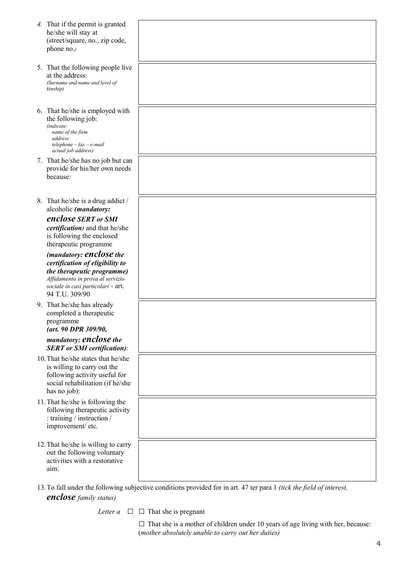| 4. That if the permit is granted<br>he/she will stay at<br>(street/square, no., zip code,<br>phone no.)                                                                              |                                                                                                                       |
|--------------------------------------------------------------------------------------------------------------------------------------------------------------------------------------|-----------------------------------------------------------------------------------------------------------------------|
| 5. That the following people live<br>at the address:<br>(Surname and name and level of<br>kinship)                                                                                   |                                                                                                                       |
| 6. That he/she is employed with<br>the following job:<br>(indicate:<br>name of the firm<br>address<br>$telephone - fax - e-mail$<br>actual job address)                              |                                                                                                                       |
| 7. That he/she has no job but can<br>provide for his/her own needs<br>because:                                                                                                       |                                                                                                                       |
| 8. That he/she is a drug addict /<br>alcoholic (mandatory:                                                                                                                           |                                                                                                                       |
| enclose SERT or SMI<br><i>certification</i> ) and that he/she<br>is following the enclosed<br>therapeutic programme                                                                  |                                                                                                                       |
| (mandatory: enclose the<br>certification of eligibility to<br>the therapeutic programme)<br>Affidamento in prova al servizio<br>sociale in casi particolari - art.<br>94 T.U. 309/90 |                                                                                                                       |
| 9. That he/she has already<br>completed a therapeutic<br>programme<br>(art. 90 DPR 309/90,                                                                                           |                                                                                                                       |
| mandatory: enclose the<br><b>SERT</b> or <b>SMI</b> certification):                                                                                                                  |                                                                                                                       |
| 10. That he/she states that he/she<br>is willing to carry out the<br>following activity useful for<br>social rehabilitation (if he/she<br>has no job):                               |                                                                                                                       |
| 11. That he/she is following the<br>following therapeutic activity<br>: training / instruction /<br>improvement/ etc.                                                                |                                                                                                                       |
| 12. That he/she is willing to carry<br>out the following voluntary<br>activities with a restorative<br>aim:                                                                          |                                                                                                                       |
|                                                                                                                                                                                      | 13. To fall under the following subjective conditions provided for in art. 47 ter para 1 (tick the field of interest, |

*Letter a*  $\Box$   $\Box$  That she is pregnant

*enclose family status)*

 $\square$  That she is a mother of children under 10 years of age living with her, because: (*mother absolutely unable to carry out her duties)*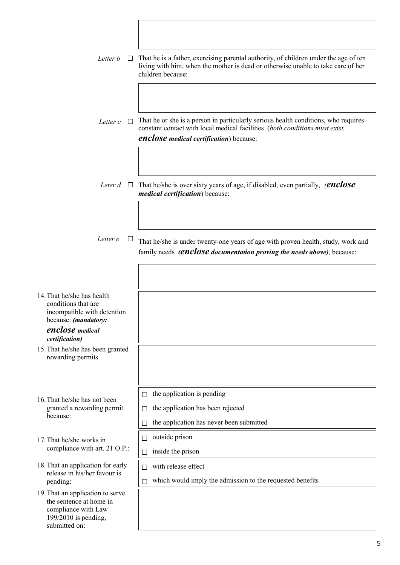| Letter <i>b</i><br>$\mathbf{L}$                                                                                                               | That he is a father, exercising parental authority, of children under the age of ten<br>living with him, when the mother is dead or otherwise unable to take care of her<br>children because:                       |
|-----------------------------------------------------------------------------------------------------------------------------------------------|---------------------------------------------------------------------------------------------------------------------------------------------------------------------------------------------------------------------|
| Letter c<br>$\Box$                                                                                                                            | That he or she is a person in particularly serious health conditions, who requires<br>constant contact with local medical facilities (both conditions must exist,<br><b>enclose</b> medical certification) because: |
|                                                                                                                                               | <i>Leter d</i> $\Box$ That he/she is over sixty years of age, if disabled, even partially, <i>(enclose</i> )<br><i>medical certification</i> ) because:                                                             |
| Letter e<br>Ц                                                                                                                                 | That he/she is under twenty-one years of age with proven health, study, work and<br>family needs ( <b>enclose</b> documentation proving the needs above), because:                                                  |
|                                                                                                                                               |                                                                                                                                                                                                                     |
| 14. That he/she has health<br>conditions that are<br>incompatible with detention<br>because: (mandatory:<br>enclose medical<br>certification) |                                                                                                                                                                                                                     |
| 15. That he/she has been granted<br>rewarding permits                                                                                         |                                                                                                                                                                                                                     |
| 16. That he/she has not been<br>granted a rewarding permit<br>because:                                                                        | the application is pending<br>$\Box$<br>the application has been rejected<br>П<br>the application has never been submitted                                                                                          |
| 17. That he/she works in<br>compliance with art. 21 O.P.:                                                                                     | outside prison<br>$\Box$<br>inside the prison<br>П                                                                                                                                                                  |
| 18. That an application for early<br>release in his/her favour is<br>pending:                                                                 | with release effect<br>which would imply the admission to the requested benefits                                                                                                                                    |
| 19. That an application to serve<br>the sentence at home in<br>compliance with Law<br>199/2010 is pending,<br>submitted on:                   |                                                                                                                                                                                                                     |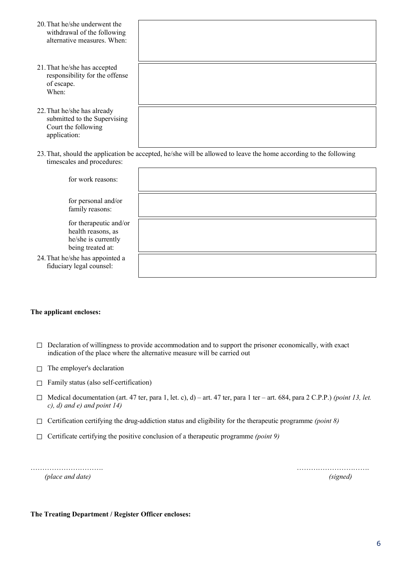| 20. That he/she underwent the<br>withdrawal of the following<br>alternative measures When          |                                                                                                                   |
|----------------------------------------------------------------------------------------------------|-------------------------------------------------------------------------------------------------------------------|
| 21. That he/she has accepted<br>responsibility for the offense<br>of escape.<br>When:              |                                                                                                                   |
| 22. That he/she has already<br>submitted to the Supervising<br>Court the following<br>application: |                                                                                                                   |
| timescales and procedures:                                                                         | 23. That, should the application be accepted, he/she will be allowed to leave the home according to the following |

| for work reasons:                                                                        |  |
|------------------------------------------------------------------------------------------|--|
| for personal and/or<br>family reasons:                                                   |  |
| for therapeutic and/or<br>health reasons, as<br>he/she is currently<br>being treated at: |  |
| 24. That he/she has appointed a<br>fiduciary legal counsel:                              |  |

#### The applicant encloses:

- $\Box$  Declaration of willingness to provide accommodation and to support the prisoner economically, with exact indication of the place where the alternative measure will be carried out
- $\Box$  The employer's declaration
- $\Box$  Family status (also self-certification)
- □ Medical documentation (art. 47 ter, para 1, let. c), d) art. 47 ter, para 1 ter art. 684, para 2 C.P.P.) *(point 13, let. c), d) and e) and point 14)*
- □ Certification certifying the drug-addiction status and eligibility for the therapeutic programme *(point 8)*
- □ Certificate certifying the positive conclusion of a therapeutic programme *(point 9)*

*(place and date) (signed)*

…………………………. ………………………….

#### The Treating Department / Register Officer encloses: